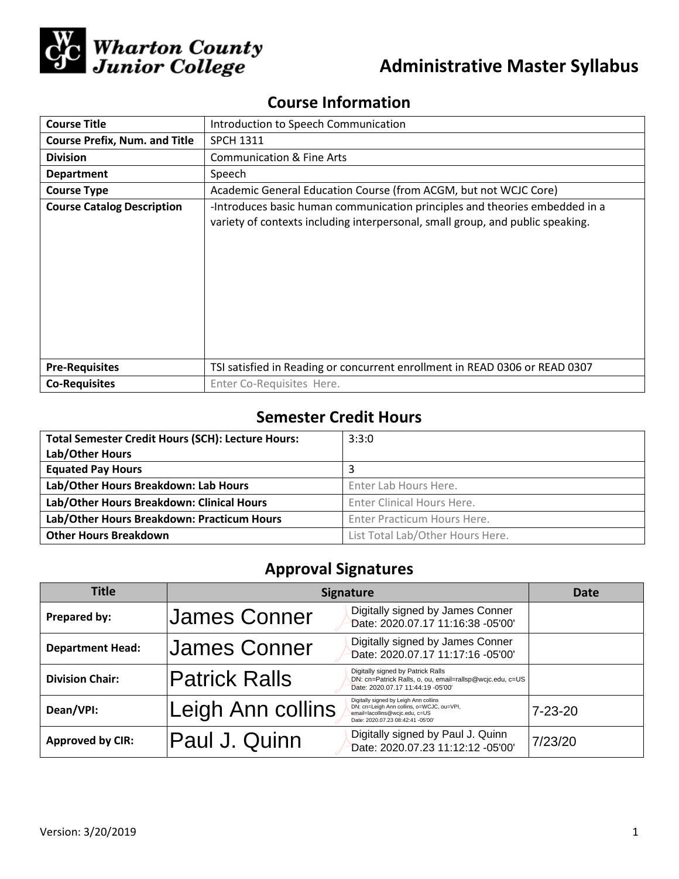

# **Administrative Master Syllabus**

## **Course Information**

| <b>Course Title</b>                  | Introduction to Speech Communication                                                                                                                          |  |  |
|--------------------------------------|---------------------------------------------------------------------------------------------------------------------------------------------------------------|--|--|
| <b>Course Prefix, Num. and Title</b> | <b>SPCH 1311</b>                                                                                                                                              |  |  |
| <b>Division</b>                      | <b>Communication &amp; Fine Arts</b>                                                                                                                          |  |  |
| <b>Department</b>                    | Speech                                                                                                                                                        |  |  |
| <b>Course Type</b>                   | Academic General Education Course (from ACGM, but not WCJC Core)                                                                                              |  |  |
| <b>Course Catalog Description</b>    | -Introduces basic human communication principles and theories embedded in a<br>variety of contexts including interpersonal, small group, and public speaking. |  |  |
| <b>Pre-Requisites</b>                | TSI satisfied in Reading or concurrent enrollment in READ 0306 or READ 0307                                                                                   |  |  |
| <b>Co-Requisites</b>                 | Enter Co-Requisites Here.                                                                                                                                     |  |  |

## **Semester Credit Hours**

| <b>Total Semester Credit Hours (SCH): Lecture Hours:</b> | 3:3:0                            |
|----------------------------------------------------------|----------------------------------|
| Lab/Other Hours                                          |                                  |
| <b>Equated Pay Hours</b>                                 | 3                                |
| Lab/Other Hours Breakdown: Lab Hours                     | Enter Lab Hours Here.            |
| Lab/Other Hours Breakdown: Clinical Hours                | Enter Clinical Hours Here.       |
| Lab/Other Hours Breakdown: Practicum Hours               | Enter Practicum Hours Here.      |
| <b>Other Hours Breakdown</b>                             | List Total Lab/Other Hours Here. |

## **Approval Signatures**

| <b>Title</b>            | <b>Signature</b>     |                                                                                                                                                           | Date          |
|-------------------------|----------------------|-----------------------------------------------------------------------------------------------------------------------------------------------------------|---------------|
| Prepared by:            | James Conner         | Digitally signed by James Conner<br>Date: 2020.07.17 11:16:38 -05'00'                                                                                     |               |
| <b>Department Head:</b> | <b>James Conner</b>  | Digitally signed by James Conner<br>Date: 2020.07.17 11:17:16 -05'00'                                                                                     |               |
| <b>Division Chair:</b>  | <b>Patrick Ralls</b> | Digitally signed by Patrick Ralls<br>DN: cn=Patrick Ralls, o, ou, email=rallsp@wcjc.edu, c=US<br>Date: 2020.07.17 11:44:19 -05'00'                        |               |
| Dean/VPI:               | Leigh Ann collins    | Digitally signed by Leigh Ann collins<br>DN: cn=Leigh Ann collins, o=WCJC, ou=VPI,<br>email=lacollins@wcjc.edu, c=US<br>Date: 2020.07.23 08:42:41 -05'00' | $7 - 23 - 20$ |
| <b>Approved by CIR:</b> | Paul J. Quinn        | Digitally signed by Paul J. Quinn<br>Date: 2020.07.23 11:12:12 -05'00'                                                                                    | 7/23/20       |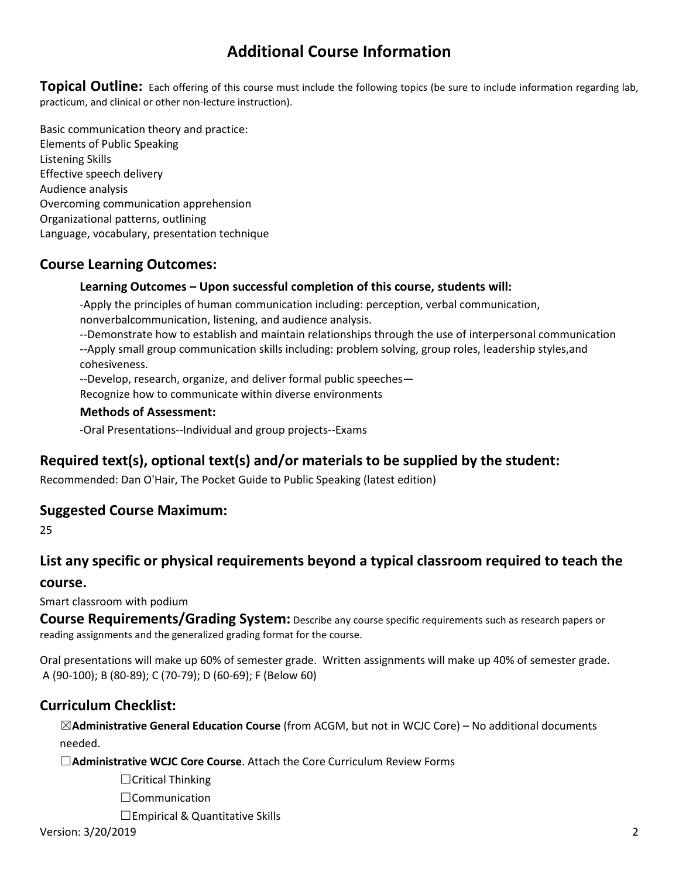## **Additional Course Information**

**Topical Outline:** Each offering of this course must include the following topics (be sure to include information regarding lab, practicum, and clinical or other non-lecture instruction).

Basic communication theory and practice: Elements of Public Speaking Listening Skills Effective speech delivery Audience analysis Overcoming communication apprehension Organizational patterns, outlining Language, vocabulary, presentation technique

### **Course Learning Outcomes:**

#### **Learning Outcomes – Upon successful completion of this course, students will:**

-Apply the principles of human communication including: perception, verbal communication, nonverbalcommunication, listening, and audience analysis.

--Demonstrate how to establish and maintain relationships through the use of interpersonal communication --Apply small group communication skills including: problem solving, group roles, leadership styles,and cohesiveness.

--Develop, research, organize, and deliver formal public speeches—

Recognize how to communicate within diverse environments

#### **Methods of Assessment:**

-Oral Presentations--Individual and group projects--Exams

### **Required text(s), optional text(s) and/or materials to be supplied by the student:**

Recommended: Dan O'Hair, The Pocket Guide to Public Speaking (latest edition)

#### **Suggested Course Maximum:**

25

### **List any specific or physical requirements beyond a typical classroom required to teach the**

#### **course.**

Smart classroom with podium

**Course Requirements/Grading System:** Describe any course specific requirements such as research papers or reading assignments and the generalized grading format for the course.

Oral presentations will make up 60% of semester grade. Written assignments will make up 40% of semester grade. A (90-100); B (80-89); C (70-79); D (60-69); F (Below 60)

### **Curriculum Checklist:**

☒**Administrative General Education Course** (from ACGM, but not in WCJC Core) – No additional documents needed.

☐**Administrative WCJC Core Course**. Attach the Core Curriculum Review Forms

☐Critical Thinking

☐Communication

□Empirical & Quantitative Skills